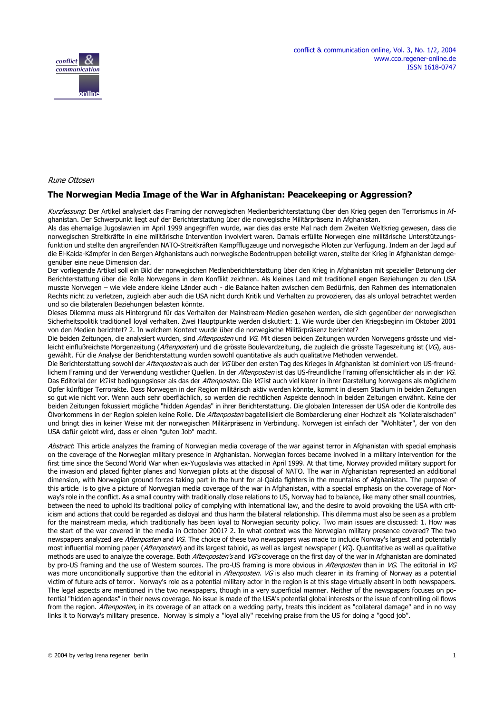



#### Rune Ottosen

### **The Norwegian Media Image of the War in Afghanistan: Peacekeeping or Aggression?**

Kurzfassung: Der Artikel analysiert das Framing der norwegischen Medienberichterstattung über den Krieg gegen den Terrorismus in Afghanistan. Der Schwerpunkt liegt auf der Berichterstattung über die norwegische Militärpräsenz in Afghanistan.

Als das ehemalige Jugoslawien im April 1999 angegriffen wurde, war dies das erste Mal nach dem Zweiten Weltkrieg gewesen, dass die norwegischen Streitkräfte in eine militärische Intervention involviert waren. Damals erfüllte Norwegen eine militärische Unterstützungsfunktion und stellte den angreifenden NATO-Streitkräften Kampfflugzeuge und norwegische Piloten zur Verfügung. Indem an der Jagd auf die El-Kaida-Kämpfer in den Bergen Afghanistans auch norwegische Bodentruppen beteiligt waren, stellte der Krieg in Afghanistan demgegenüber eine neue Dimension dar.

Der vorliegende Artikel soll ein Bild der norwegischen Medienberichterstattung über den Krieg in Afghanistan mit spezieller Betonung der Berichterstattung über die Rolle Norwegens in dem Konflikt zeichnen. Als kleines Land mit traditionell engen Beziehungen zu den USA musste Norwegen – wie viele andere kleine Länder auch - die Balance halten zwischen dem Bedürfnis, den Rahmen des internationalen Rechts nicht zu verletzen, zugleich aber auch die USA nicht durch Kritik und Verhalten zu provozieren, das als unloyal betrachtet werden und so die bilateralen Beziehungen belasten könnte.

Dieses Dilemma muss als Hintergrund für das Verhalten der Mainstream-Medien gesehen werden, die sich gegenüber der norwegischen Sicherheitspolitik traditionell loyal verhalten. Zwei Hauptpunkte werden diskutiert: 1. Wie wurde über den Kriegsbeginn im Oktober 2001 von den Medien berichtet? 2. In welchem Kontext wurde über die norwegische Militärpräsenz berichtet?

Die beiden Zeitungen, die analysiert wurden, sind Aftenposten und VG. Mit diesen beiden Zeitungen wurden Norwegens grösste und vielleicht einflußreichste Morgenzeitung (Aftenposten) und die grösste Boulevardzeitung, die zugleich die grösste Tageszeitung ist (VG), ausgewählt. Für die Analyse der Berichterstattung wurden sowohl quantitative als auch qualitative Methoden verwendet.

Die Berichterstattung sowohl der Aftenposten als auch der VG über den ersten Tag des Krieges in Afghanistan ist dominiert von US-freundlichem Framing und der Verwendung westlicher Quellen. In der Aftenposten ist das US-freundliche Framing offensichtlicher als in der VG. Das Editorial der VG ist bedingungsloser als das der Aftenposten. Die VG ist auch viel klarer in ihrer Darstellung Norwegens als möglichem Opfer künftiger Terrorakte. Dass Norwegen in der Region militärisch aktiv werden könnte, kommt in diesem Stadium in beiden Zeitungen so gut wie nicht vor. Wenn auch sehr oberflächlich, so werden die rechtlichen Aspekte dennoch in beiden Zeitungen erwähnt. Keine der beiden Zeitungen fokussiert mögliche "hidden Agendas" in ihrer Berichterstattung. Die globalen Interessen der USA oder die Kontrolle des Ölvorkommens in der Region spielen keine Rolle. Die *Aftenposten* bagatellisiert die Bombardierung einer Hochzeit als "Kollateralschaden" und bringt dies in keiner Weise mit der norwegischen Militärpräsenz in Verbindung. Norwegen ist einfach der "Wohltäter", der von den USA dafür gelobt wird, dass er einen "guten Job" macht.

Abstract: This article analyzes the framing of Norwegian media coverage of the war against terror in Afghanistan with special emphasis on the coverage of the Norwegian military presence in Afghanistan. Norwegian forces became involved in a military intervention for the first time since the Second World War when ex-Yugoslavia was attacked in April 1999. At that time, Norway provided military support for the invasion and placed fighter planes and Norwegian pilots at the disposal of NATO. The war in Afghanistan represented an additional dimension, with Norwegian ground forces taking part in the hunt for al-Qaida fighters in the mountains of Afghanistan. The purpose of this article is to give a picture of Norwegian media coverage of the war in Afghanistan, with a special emphasis on the coverage of Norway's role in the conflict. As a small country with traditionally close relations to US, Norway had to balance, like many other small countries, between the need to uphold its traditional policy of complying with international law, and the desire to avoid provoking the USA with criticism and actions that could be regarded as disloyal and thus harm the bilateral relationship. This dilemma must also be seen as a problem for the mainstream media, which traditionally has been loyal to Norwegian security policy. Two main issues are discussed: 1. How was the start of the war covered in the media in October 2001? 2. In what context was the Norwegian military presence covered? The two newspapers analyzed are Aftenposten and VG. The choice of these two newspapers was made to include Norway's largest and potentially most influential morning paper (*Aftenposten*) and its largest tabloid, as well as largest newspaper (VG). Quantitative as well as qualitative methods are used to analyze the coverage. Both Aftenposten's and VG's coverage on the first day of the war in Afghanistan are dominated by pro-US framing and the use of Western sources. The pro-US framing is more obvious in Aftenposten than in VG. The editorial in VG was more unconditionally supportive than the editorial in Aftenposten. VG is also much clearer in its framing of Norway as a potential victim of future acts of terror. Norway's role as a potential military actor in the region is at this stage virtually absent in both newspapers. The legal aspects are mentioned in the two newspapers, though in a very superficial manner. Neither of the newspapers focuses on potential "hidden agendas" in their news coverage. No issue is made of the USA's potential global interests or the issue of controlling oil flows from the region. Aftenposten, in its coverage of an attack on a wedding party, treats this incident as "collateral damage" and in no way links it to Norway's military presence. Norway is simply a "loyal ally" receiving praise from the US for doing a "good job".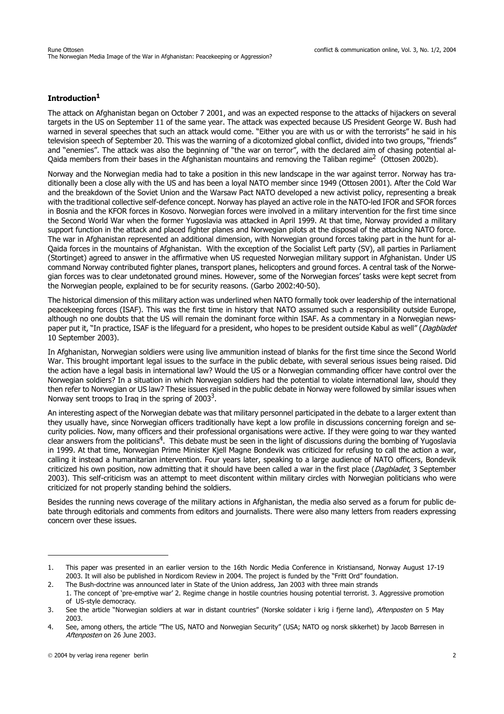# **Introduction1**

The attack on Afghanistan began on October 7 2001, and was an expected response to the attacks of hijackers on several targets in the US on September 11 of the same year. The attack was expected because US President George W. Bush had warned in several speeches that such an attack would come. "Either you are with us or with the terrorists" he said in his television speech of September 20. This was the warning of a dicotomized global conflict, divided into two groups, "friends" and "enemies". The attack was also the beginning of "the war on terror", with the declared aim of chasing potential al-Qaida members from their bases in the Afghanistan mountains and removing the Taliban regime<sup>2</sup> (Ottosen 2002b).

Norway and the Norwegian media had to take a position in this new landscape in the war against terror. Norway has traditionally been a close ally with the US and has been a loyal NATO member since 1949 (Ottosen 2001). After the Cold War and the breakdown of the Soviet Union and the Warsaw Pact NATO developed a new activist policy, representing a break with the traditional collective self-defence concept. Norway has played an active role in the NATO-led IFOR and SFOR forces in Bosnia and the KFOR forces in Kosovo. Norwegian forces were involved in a military intervention for the first time since the Second World War when the former Yugoslavia was attacked in April 1999. At that time, Norway provided a military support function in the attack and placed fighter planes and Norwegian pilots at the disposal of the attacking NATO force. The war in Afghanistan represented an additional dimension, with Norwegian ground forces taking part in the hunt for al-Qaida forces in the mountains of Afghanistan. With the exception of the Socialist Left party (SV), all parties in Parliament (Stortinget) agreed to answer in the affirmative when US requested Norwegian military support in Afghanistan. Under US command Norway contributed fighter planes, transport planes, helicopters and ground forces. A central task of the Norwegian forces was to clear undetonated ground mines. However, some of the Norwegian forces' tasks were kept secret from the Norwegian people, explained to be for security reasons. (Garbo 2002:40-50).

The historical dimension of this military action was underlined when NATO formally took over leadership of the international peacekeeping forces (ISAF). This was the first time in history that NATO assumed such a responsibility outside Europe, although no one doubts that the US will remain the dominant force within ISAF. As a commentary in a Norwegian newspaper put it, "In practice, ISAF is the lifeguard for a president, who hopes to be president outside Kabul as well" (Dagbladet 10 September 2003).

In Afghanistan, Norwegian soldiers were using live ammunition instead of blanks for the first time since the Second World War. This brought important legal issues to the surface in the public debate, with several serious issues being raised. Did the action have a legal basis in international law? Would the US or a Norwegian commanding officer have control over the Norwegian soldiers? In a situation in which Norwegian soldiers had the potential to violate international law, should they then refer to Norwegian or US law? These issues raised in the public debate in Norway were followed by similar issues when Norway sent troops to Iraq in the spring of  $2003<sup>3</sup>$ .

An interesting aspect of the Norwegian debate was that military personnel participated in the debate to a larger extent than they usually have, since Norwegian officers traditionally have kept a low profile in discussions concerning foreign and security policies. Now, many officers and their professional organisations were active. If they were going to war they wanted clear answers from the politicians<sup>4</sup>. This debate must be seen in the light of discussions during the bombing of Yugoslavia in 1999. At that time, Norwegian Prime Minister Kjell Magne Bondevik was criticized for refusing to call the action a war, calling it instead a humanitarian intervention. Four years later, speaking to a large audience of NATO officers, Bondevik criticized his own position, now admitting that it should have been called a war in the first place (Dagbladet, 3 September 2003). This self-criticism was an attempt to meet discontent within military circles with Norwegian politicians who were criticized for not properly standing behind the soldiers.

Besides the running news coverage of the military actions in Afghanistan, the media also served as a forum for public debate through editorials and comments from editors and journalists. There were also many letters from readers expressing concern over these issues.

<sup>1.</sup> This paper was presented in an earlier version to the 16th Nordic Media Conference in Kristiansand, Norway August 17-19 2003. It will also be published in Nordicom Review in 2004. The project is funded by the "Fritt Ord" foundation.

<sup>2.</sup> The Bush-doctrine was announced later in State of the Union address, Jan 2003 with three main strands 1. The concept of 'pre-emptive war' 2. Regime change in hostile countries housing potential terrorist. 3. Aggressive promotion of US-style democracy.

<sup>3.</sup> See the article "Norwegian soldiers at war in distant countries" (Norske soldater i krig i fierne land). Aftenposten on 5 May 2003.

<sup>4.</sup> See, among others, the article "The US, NATO and Norwegian Security" (USA; NATO og norsk sikkerhet) by Jacob Børresen in Aftenposten on 26 June 2003.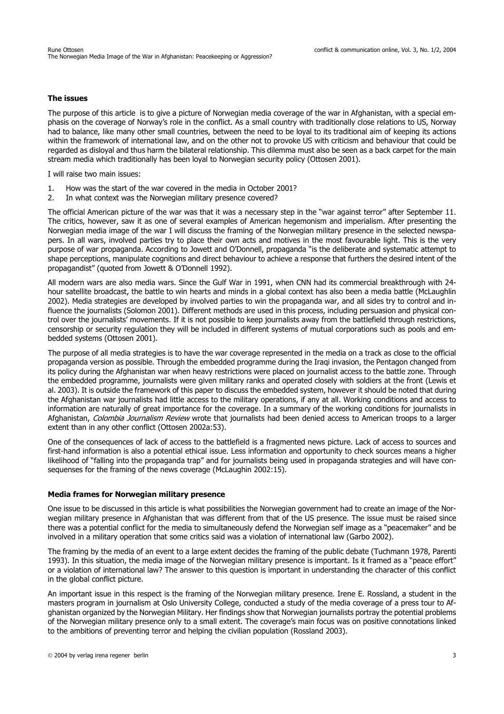### **The issues**

The purpose of this article is to give a picture of Norwegian media coverage of the war in Afghanistan, with a special emphasis on the coverage of Norway's role in the conflict. As a small country with traditionally close relations to US, Norway had to balance, like many other small countries, between the need to be loyal to its traditional aim of keeping its actions within the framework of international law, and on the other not to provoke US with criticism and behaviour that could be regarded as disloyal and thus harm the bilateral relationship. This dilemma must also be seen as a back carpet for the main stream media which traditionally has been loyal to Norwegian security policy (Ottosen 2001).

I will raise two main issues:

- 1. How was the start of the war covered in the media in October 2001?
- 2. In what context was the Norwegian military presence covered?

The official American picture of the war was that it was a necessary step in the "war against terror" after September 11. The critics, however, saw it as one of several examples of American hegemonism and imperialism. After presenting the Norwegian media image of the war I will discuss the framing of the Norwegian military presence in the selected newspapers. In all wars, involved parties try to place their own acts and motives in the most favourable light. This is the very purpose of war propaganda. According to Jowett and O'Donnell, propaganda "is the deliberate and systematic attempt to shape perceptions, manipulate cognitions and direct behaviour to achieve a response that furthers the desired intent of the propagandist" (quoted from Jowett & O'Donnell 1992).

All modern wars are also media wars. Since the Gulf War in 1991, when CNN had its commercial breakthrough with 24 hour satellite broadcast, the battle to win hearts and minds in a global context has also been a media battle (McLaughlin 2002). Media strategies are developed by involved parties to win the propaganda war, and all sides try to control and influence the journalists (Solomon 2001). Different methods are used in this process, including persuasion and physical control over the journalists' movements. If it is not possible to keep journalists away from the battlefield through restrictions, censorship or security regulation they will be included in different systems of mutual corporations such as pools and embedded systems (Ottosen 2001).

The purpose of all media strategies is to have the war coverage represented in the media on a track as close to the official propaganda version as possible. Through the embedded programme during the Iraqi invasion, the Pentagon changed from its policy during the Afghanistan war when heavy restrictions were placed on journalist access to the battle zone. Through the embedded programme, journalists were given military ranks and operated closely with soldiers at the front (Lewis et al. 2003). It is outside the framework of this paper to discuss the embedded system, however it should be noted that during the Afghanistan war journalists had little access to the military operations, if any at all. Working conditions and access to information are naturally of great importance for the coverage. In a summary of the working conditions for journalists in Afghanistan, Colombia Journalism Review wrote that journalists had been denied access to American troops to a larger extent than in any other conflict (Ottosen 2002a:53).

One of the consequences of lack of access to the battlefield is a fragmented news picture. Lack of access to sources and first-hand information is also a potential ethical issue. Less information and opportunity to check sources means a higher likelihood of "falling into the propaganda trap" and for journalists being used in propaganda strategies and will have consequenses for the framing of the news coverage (McLaughin 2002:15).

#### **Media frames for Norwegian military presence**

One issue to be discussed in this article is what possibilities the Norwegian government had to create an image of the Norwegian military presence in Afghanistan that was different from that of the US presence. The issue must be raised since there was a potential conflict for the media to simultaneously defend the Norwegian self image as a "peacemaker" and be involved in a military operation that some critics said was a violation of international law (Garbo 2002).

The framing by the media of an event to a large extent decides the framing of the public debate (Tuchmann 1978, Parenti 1993). In this situation, the media image of the Norwegian military presence is important. Is it framed as a "peace effort" or a violation of international law? The answer to this question is important in understanding the character of this conflict in the global conflict picture.

An important issue in this respect is the framing of the Norwegian military presence. Irene E. Rossland, a student in the masters program in journalism at Oslo University College, conducted a study of the media coverage of a press tour to Afghanistan organized by the Norwegian Military. Her findings show that Norwegian journalists portray the potential problems of the Norwegian military presence only to a small extent. The coverage's main focus was on positive connotations linked to the ambitions of preventing terror and helping the civilian population (Rossland 2003).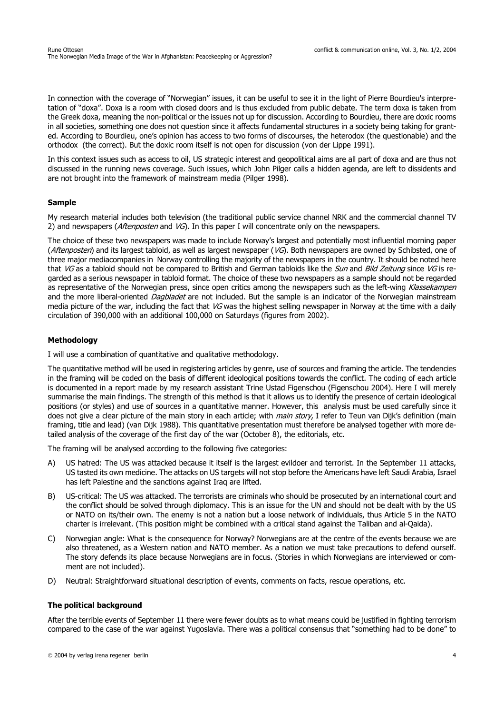In connection with the coverage of "Norwegian" issues, it can be useful to see it in the light of Pierre Bourdieu's interpretation of "doxa". Doxa is a room with closed doors and is thus excluded from public debate. The term doxa is taken from the Greek doxa, meaning the non-political or the issues not up for discussion. According to Bourdieu, there are doxic rooms in all societies, something one does not question since it affects fundamental structures in a society being taking for granted. According to Bourdieu, one's opinion has access to two forms of discourses, the heterodox (the questionable) and the orthodox (the correct). But the doxic room itself is not open for discussion (von der Lippe 1991).

In this context issues such as access to oil, US strategic interest and geopolitical aims are all part of doxa and are thus not discussed in the running news coverage. Such issues, which John Pilger calls a hidden agenda, are left to dissidents and are not brought into the framework of mainstream media (Pilger 1998).

### **Sample**

My research material includes both television (the traditional public service channel NRK and the commercial channel TV 2) and newspapers (Aftenposten and  $VG$ ). In this paper I will concentrate only on the newspapers.

The choice of these two newspapers was made to include Norway's largest and potentially most influential morning paper (Aftenposten) and its largest tabloid, as well as largest newspaper (VG). Both newspapers are owned by Schibsted, one of three major mediacompanies in Norway controlling the majority of the newspapers in the country. It should be noted here that VG as a tabloid should not be compared to British and German tabloids like the Sun and Bild Zeitung since VG is regarded as a serious newspaper in tabloid format. The choice of these two newspapers as a sample should not be regarded as representative of the Norwegian press, since open critics among the newspapers such as the left-wing Klassekampen and the more liberal-oriented Dagbladet are not included. But the sample is an indicator of the Norwegian mainstream media picture of the war, including the fact that  $VG$  was the highest selling newspaper in Norway at the time with a daily circulation of 390,000 with an additional 100,000 on Saturdays (figures from 2002).

# **Methodology**

I will use a combination of quantitative and qualitative methodology.

The quantitative method will be used in registering articles by genre, use of sources and framing the article. The tendencies in the framing will be coded on the basis of different ideological positions towards the conflict. The coding of each article is documented in a report made by my research assistant Trine Ustad Figenschou (Figenschou 2004). Here I will merely summarise the main findings. The strength of this method is that it allows us to identify the presence of certain ideological positions (or styles) and use of sources in a quantitative manner. However, this analysis must be used carefully since it does not give a clear picture of the main story in each article; with *main story*, I refer to Teun van Dijk's definition (main framing, title and lead) (van Dijk 1988). This quantitative presentation must therefore be analysed together with more detailed analysis of the coverage of the first day of the war (October 8), the editorials, etc.

The framing will be analysed according to the following five categories:

- A) US hatred: The US was attacked because it itself is the largest evildoer and terrorist. In the September 11 attacks, US tasted its own medicine. The attacks on US targets will not stop before the Americans have left Saudi Arabia, Israel has left Palestine and the sanctions against Iraq are lifted.
- B) US-critical: The US was attacked. The terrorists are criminals who should be prosecuted by an international court and the conflict should be solved through diplomacy. This is an issue for the UN and should not be dealt with by the US or NATO on its/their own. The enemy is not a nation but a loose network of individuals, thus Article 5 in the NATO charter is irrelevant. (This position might be combined with a critical stand against the Taliban and al-Qaida).
- C) Norwegian angle: What is the consequence for Norway? Norwegians are at the centre of the events because we are also threatened, as a Western nation and NATO member. As a nation we must take precautions to defend ourself. The story defends its place because Norwegians are in focus. (Stories in which Norwegians are interviewed or comment are not included).
- D) Neutral: Straightforward situational description of events, comments on facts, rescue operations, etc.

#### **The political background**

After the terrible events of September 11 there were fewer doubts as to what means could be justified in fighting terrorism compared to the case of the war against Yugoslavia. There was a political consensus that "something had to be done" to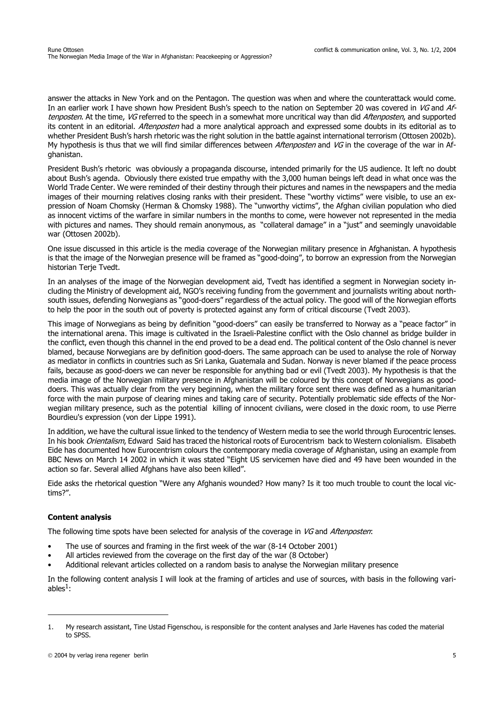answer the attacks in New York and on the Pentagon. The question was when and where the counterattack would come. In an earlier work I have shown how President Bush's speech to the nation on September 20 was covered in VG and Aftenposten. At the time, VG referred to the speech in a somewhat more uncritical way than did *Aftenposten*, and supported its content in an editorial. *Aftenposten* had a more analytical approach and expressed some doubts in its editorial as to whether President Bush's harsh rhetoric was the right solution in the battle against international terrorism (Ottosen 2002b). My hypothesis is thus that we will find similar differences between *Aftenposten* and VG in the coverage of the war in Afghanistan.

President Bush's rhetoric was obviously a propaganda discourse, intended primarily for the US audience. It left no doubt about Bush's agenda. Obviously there existed true empathy with the 3,000 human beings left dead in what once was the World Trade Center. We were reminded of their destiny through their pictures and names in the newspapers and the media images of their mourning relatives closing ranks with their president. These "worthy victims" were visible, to use an expression of Noam Chomsky (Herman & Chomsky 1988). The "unworthy victims", the Afghan civilian population who died as innocent victims of the warfare in similar numbers in the months to come, were however not represented in the media with pictures and names. They should remain anonymous, as "collateral damage" in a "just" and seemingly unavoidable war (Ottosen 2002b).

One issue discussed in this article is the media coverage of the Norwegian military presence in Afghanistan. A hypothesis is that the image of the Norwegian presence will be framed as "good-doing", to borrow an expression from the Norwegian historian Terje Tvedt.

In an analyses of the image of the Norwegian development aid, Tvedt has identified a segment in Norwegian society including the Ministry of development aid, NGO's receiving funding from the government and journalists writing about northsouth issues, defending Norwegians as "good-doers" regardless of the actual policy. The good will of the Norwegian efforts to help the poor in the south out of poverty is protected against any form of critical discourse (Tvedt 2003).

This image of Norwegians as being by definition "good-doers" can easily be transferred to Norway as a "peace factor" in the international arena. This image is cultivated in the Israeli-Palestine conflict with the Oslo channel as bridge builder in the conflict, even though this channel in the end proved to be a dead end. The political content of the Oslo channel is never blamed, because Norwegians are by definition good-doers. The same approach can be used to analyse the role of Norway as mediator in conflicts in countries such as Sri Lanka, Guatemala and Sudan. Norway is never blamed if the peace process fails, because as good-doers we can never be responsible for anything bad or evil (Tvedt 2003). My hypothesis is that the media image of the Norwegian military presence in Afghanistan will be coloured by this concept of Norwegians as gooddoers. This was actually clear from the very beginning, when the military force sent there was defined as a humanitarian force with the main purpose of clearing mines and taking care of security. Potentially problematic side effects of the Norwegian military presence, such as the potential killing of innocent civilians, were closed in the doxic room, to use Pierre Bourdieu's expression (von der Lippe 1991).

In addition, we have the cultural issue linked to the tendency of Western media to see the world through Eurocentric lenses. In his book Orientalism, Edward Said has traced the historical roots of Eurocentrism back to Western colonialism. Elisabeth Eide has documented how Eurocentrism colours the contemporary media coverage of Afghanistan, using an example from BBC News on March 14 2002 in which it was stated "Eight US servicemen have died and 49 have been wounded in the action so far. Several allied Afghans have also been killed".

Eide asks the rhetorical question "Were any Afghanis wounded? How many? Is it too much trouble to count the local victims?".

# **Content analysis**

The following time spots have been selected for analysis of the coverage in VG and Aftenposten:

- The use of sources and framing in the first week of the war (8-14 October 2001)
- All articles reviewed from the coverage on the first day of the war (8 October)
- Additional relevant articles collected on a random basis to analyse the Norwegian military presence

In the following content analysis I will look at the framing of articles and use of sources, with basis in the following variables $<sup>1</sup>$ :</sup>

<sup>1.</sup> My research assistant, Tine Ustad Figenschou, is responsible for the content analyses and Jarle Havenes has coded the material to SPSS.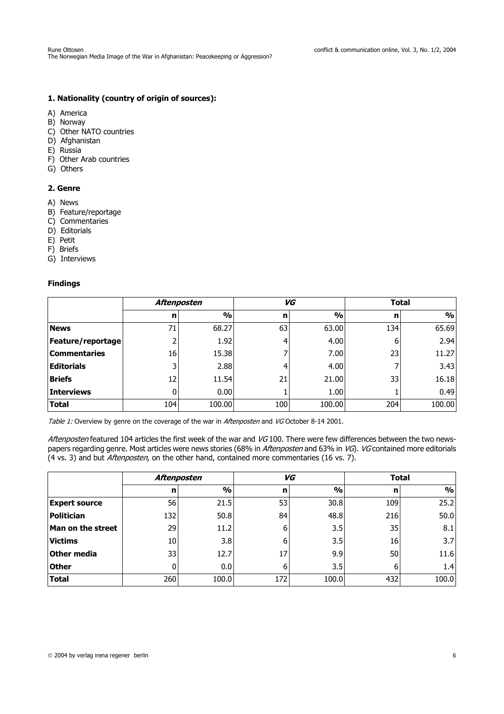# **1. Nationality (country of origin of sources):**

- A) America
- B) Norway
- C) Other NATO countries
- D) Afghanistan
- E) Russia
- F) Other Arab countries
- G) Others

# **2. Genre**

- A) News
- B) Feature/reportage
- C) Commentaries
- D) Editorials
- E) Petit
- F) Briefs
- G) Interviews

# **Findings**

|                     | Aftenposten |               | VG  |               | <b>Total</b> |               |
|---------------------|-------------|---------------|-----|---------------|--------------|---------------|
|                     | n           | $\frac{0}{0}$ | n   | $\frac{0}{0}$ | n            | $\frac{9}{6}$ |
| <b>News</b>         | 71          | 68.27         | 63  | 63.00         | 134          | 65.69         |
| Feature/reportage   |             | 1.92          | 4   | 4.00          | 6            | 2.94          |
| <b>Commentaries</b> | 16          | 15.38         |     | 7.00          | 23           | 11.27         |
| <b>Editorials</b>   |             | 2.88          | 4   | 4.00          |              | 3.43          |
| <b>Briefs</b>       | 12          | 11.54         | 21  | 21.00         | 33           | 16.18         |
| <b>Interviews</b>   | 0           | 0.00          |     | 1.00          |              | 0.49          |
| <b>Total</b>        | 104         | 100.00        | 100 | 100.00        | 204          | 100.00        |

Table 1: Overview by genre on the coverage of the war in Aftenposten and VG October 8-14 2001.

Aftenposten featured 104 articles the first week of the war and VG100. There were few differences between the two newspapers regarding genre. Most articles were news stories (68% in Aftenposten and 63% in VG). VG contained more editorials (4 vs. 3) and but Aftenposten, on the other hand, contained more commentaries (16 vs. 7).

|                          | <b>Aftenposten</b> |               | VG  |               | <b>Total</b> |               |
|--------------------------|--------------------|---------------|-----|---------------|--------------|---------------|
|                          | n                  | $\frac{0}{0}$ | n   | $\frac{0}{0}$ | n            | $\frac{9}{6}$ |
| <b>Expert source</b>     | 56                 | 21.5          | 53  | 30.8          | 109          | 25.2          |
| Politician               | 132                | 50.8          | 84  | 48.8          | 216          | 50.0          |
| <b>Man on the street</b> | 29                 | 11.2          | 6   | 3.5           | 35           | 8.1           |
| Victims                  | 10                 | 3.8           | 6   | 3.5           | 16           | 3.7           |
| Other media              | 33                 | 12.7          | 17  | 9.9           | 50           | 11.6          |
| <b>Other</b>             |                    | 0.0           | 6   | 3.5           | 6            | 1.4           |
| <b>Total</b>             | 260                | 100.0         | 172 | 100.0         | 432          | 100.0         |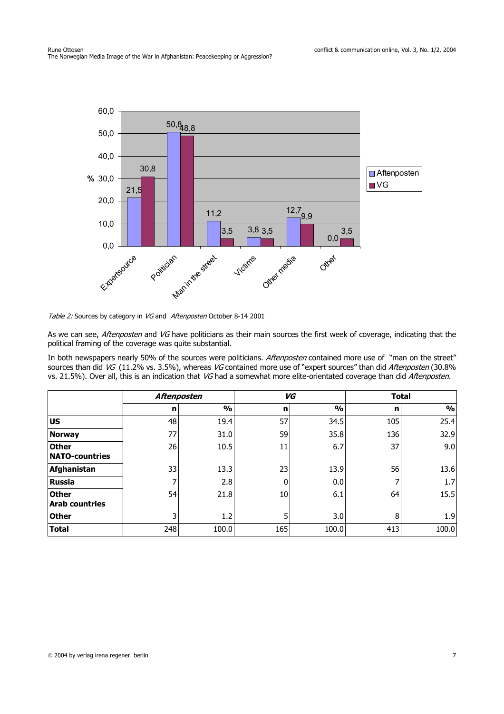

Table 2: Sources by category in VG and Aftenposten October 8-14 2001

As we can see, Aftenposten and VG have politicians as their main sources the first week of coverage, indicating that the political framing of the coverage was quite substantial.

In both newspapers nearly 50% of the sources were politicians. Aftenposten contained more use of "man on the street" sources than did VG (11.2% vs. 3.5%), whereas VG contained more use of "expert sources" than did Aftenposten (30.8% vs. 21.5%). Over all, this is an indication that VG had a somewhat more elite-orientated coverage than did Aftenposten.

|                                       | <b>Aftenposten</b> |               | VG  |               | <b>Total</b> |               |
|---------------------------------------|--------------------|---------------|-----|---------------|--------------|---------------|
|                                       | n                  | $\frac{9}{6}$ | n   | $\frac{0}{0}$ | n            | $\frac{0}{0}$ |
| <b>US</b>                             | 48                 | 19.4          | 57  | 34.5          | 105          | 25.4          |
| Norway                                | 77                 | 31.0          | 59  | 35.8          | 136          | 32.9          |
| <b>Other</b><br><b>NATO-countries</b> | 26                 | 10.5          | 11  | 6.7           | 37           | 9.0           |
| Afghanistan                           | 33                 | 13.3          | 23  | 13.9          | 56           | 13.6          |
| <b>Russia</b>                         | 7                  | 2.8           | 0   | 0.0           |              | 1.7           |
| <b>Other</b><br><b>Arab countries</b> | 54                 | 21.8          | 10  | 6.1           | 64           | 15.5          |
| <b>Other</b>                          | 3                  | 1.2           | 5   | 3.0           | 8            | 1.9           |
| <b>Total</b>                          | 248                | 100.0         | 165 | 100.0         | 413          | 100.0         |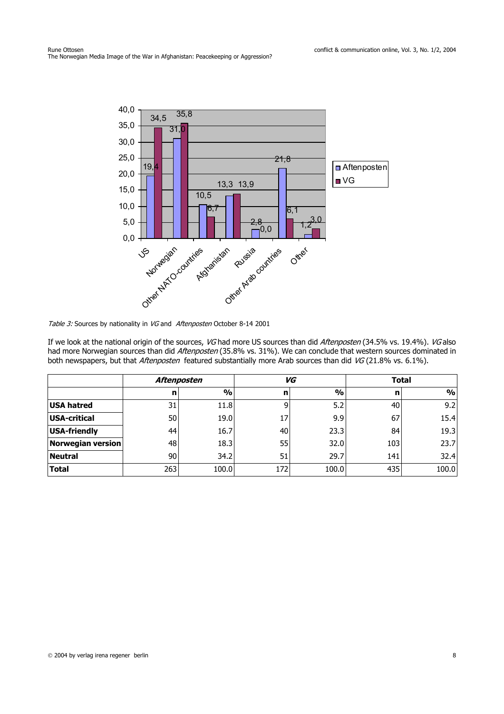

Table 3: Sources by nationality in VG and Aftenposten October 8-14 2001

If we look at the national origin of the sources, VG had more US sources than did Aftenposten (34.5% vs. 19.4%). VG also had more Norwegian sources than did Aftenposten (35.8% vs. 31%). We can conclude that western sources dominated in both newspapers, but that *Aftenposten* featured substantially more Arab sources than did VG (21.8% vs. 6.1%).

|                   | <b>Aftenposten</b> |               | VG  |               | <b>Total</b> |               |
|-------------------|--------------------|---------------|-----|---------------|--------------|---------------|
|                   | n                  | $\frac{1}{2}$ | n   | $\frac{0}{0}$ | n            | $\frac{9}{0}$ |
| <b>USA hatred</b> | 31                 | 11.8          | 9   | 5.2           | 40           | 9.2           |
| USA-critical      | 50                 | 19.0          | 17  | 9.9           | 67           | 15.4          |
| USA-friendly      | 44                 | 16.7          | 40  | 23.3          | 84           | 19.3          |
| Norwegian version | 48                 | 18.3          | 55  | 32.0          | 103          | 23.7          |
| <b>Neutral</b>    | 90                 | 34.2          | 51  | 29.7          | 141          | 32.4          |
| <b>Total</b>      | 263                | 100.0         | 172 | 100.0         | 435          | 100.0         |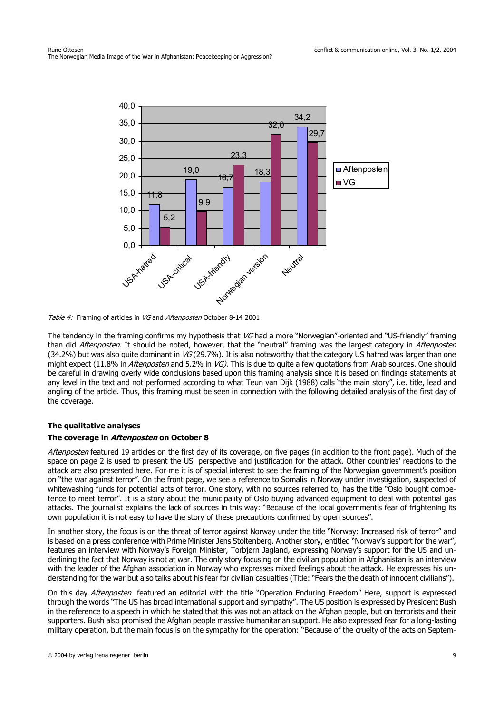

Table 4: Framing of articles in VG and Aftenposten October 8-14 2001

The tendency in the framing confirms my hypothesis that VG had a more "Norwegian"-oriented and "US-friendly" framing than did Aftenposten. It should be noted, however, that the "neutral" framing was the largest category in Aftenposten (34.2%) but was also quite dominant in  $VG$  (29.7%). It is also noteworthy that the category US hatred was larger than one might expect (11.8% in Aftenposten and 5.2% in VG). This is due to quite a few quotations from Arab sources. One should be careful in drawing overly wide conclusions based upon this framing analysis since it is based on findings statements at any level in the text and not performed according to what Teun van Dijk (1988) calls "the main story", i.e. title, lead and angling of the article. Thus, this framing must be seen in connection with the following detailed analysis of the first day of the coverage.

# **The qualitative analyses**

#### **The coverage in Aftenposten on October 8**

Aftenposten featured 19 articles on the first day of its coverage, on five pages (in addition to the front page). Much of the space on page 2 is used to present the US perspective and justification for the attack. Other countries' reactions to the attack are also presented here. For me it is of special interest to see the framing of the Norwegian government's position on "the war against terror". On the front page, we see a reference to Somalis in Norway under investigation, suspected of whitewashing funds for potential acts of terror. One story, with no sources referred to, has the title "Oslo bought competence to meet terror". It is a story about the municipality of Oslo buying advanced equipment to deal with potential gas attacks. The journalist explains the lack of sources in this way: "Because of the local government's fear of frightening its own population it is not easy to have the story of these precautions confirmed by open sources".

In another story, the focus is on the threat of terror against Norway under the title "Norway: Increased risk of terror" and is based on a press conference with Prime Minister Jens Stoltenberg. Another story, entitled "Norway's support for the war", features an interview with Norway's Foreign Minister, Torbjørn Jagland, expressing Norway's support for the US and underlining the fact that Norway is not at war. The only story focusing on the civilian population in Afghanistan is an interview with the leader of the Afghan association in Norway who expresses mixed feelings about the attack. He expresses his understanding for the war but also talks about his fear for civilian casualties (Title: "Fears the the death of innocent civilians").

On this day *Aftenposten* featured an editorial with the title "Operation Enduring Freedom" Here, support is expressed through the words "The US has broad international support and sympathy". The US position is expressed by President Bush in the reference to a speech in which he stated that this was not an attack on the Afghan people, but on terrorists and their supporters. Bush also promised the Afghan people massive humanitarian support. He also expressed fear for a long-lasting military operation, but the main focus is on the sympathy for the operation: "Because of the cruelty of the acts on Septem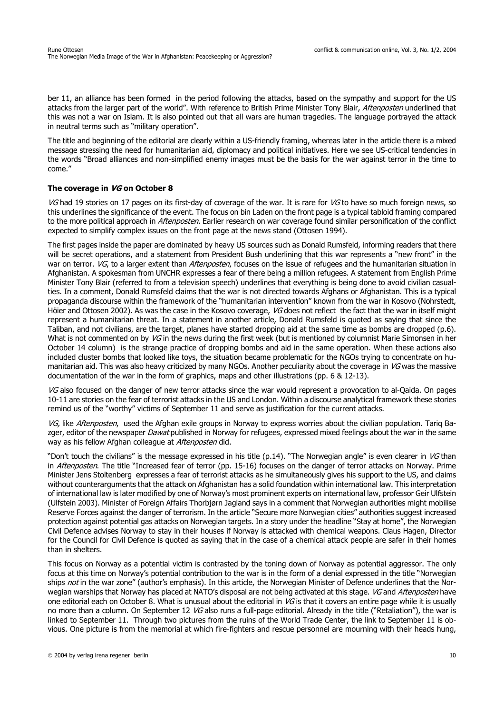ber 11, an alliance has been formed in the period following the attacks, based on the sympathy and support for the US attacks from the larger part of the world". With reference to British Prime Minister Tony Blair, Aftenposten underlined that this was not a war on Islam. It is also pointed out that all wars are human tragedies. The language portrayed the attack in neutral terms such as "military operation".

The title and beginning of the editorial are clearly within a US-friendly framing, whereas later in the article there is a mixed message stressing the need for humanitarian aid, diplomacy and political initiatives. Here we see US-critical tendencies in the words "Broad alliances and non-simplified enemy images must be the basis for the war against terror in the time to come."

# **The coverage in VG on October 8**

VG had 19 stories on 17 pages on its first-day of coverage of the war. It is rare for VG to have so much foreign news, so this underlines the significance of the event. The focus on bin Laden on the front page is a typical tabloid framing compared to the more political approach in *Aftenposten*. Earlier research on war coverage found similar personification of the conflict expected to simplify complex issues on the front page at the news stand (Ottosen 1994).

The first pages inside the paper are dominated by heavy US sources such as Donald Rumsfeld, informing readers that there will be secret operations, and a statement from President Bush underlining that this war represents a "new front" in the war on terror. VG, to a larger extent than Aftenposten, focuses on the issue of refugees and the humanitarian situation in Afghanistan. A spokesman from UNCHR expresses a fear of there being a million refugees. A statement from English Prime Minister Tony Blair (referred to from a television speech) underlines that everything is being done to avoid civilian casualties. In a comment, Donald Rumsfeld claims that the war is not directed towards Afghans or Afghanistan. This is a typical propaganda discourse within the framework of the "humanitarian intervention" known from the war in Kosovo (Nohrstedt, Höier and Ottosen 2002). As was the case in the Kosovo coverage, VG does not reflect the fact that the war in itself might represent a humanitarian threat. In a statement in another article, Donald Rumsfeld is quoted as saying that since the Taliban, and not civilians, are the target, planes have started dropping aid at the same time as bombs are dropped (p.6). What is not commented on by VG in the news during the first week (but is mentioned by columnist Marie Simonsen in her October 14 column) is the strange practice of dropping bombs and aid in the same operation. When these actions also included cluster bombs that looked like toys, the situation became problematic for the NGOs trying to concentrate on humanitarian aid. This was also heavy criticized by many NGOs. Another peculiarity about the coverage in VG was the massive documentation of the war in the form of graphics, maps and other illustrations (pp. 6 & 12-13).

VG also focused on the danger of new terror attacks since the war would represent a provocation to al-Qaida. On pages 10-11 are stories on the fear of terrorist attacks in the US and London. Within a discourse analytical framework these stories remind us of the "worthy" victims of September 11 and serve as justification for the current attacks.

VG, like Aftenposten, used the Afghan exile groups in Norway to express worries about the civilian population. Tarig Bazger, editor of the newspaper *Dawat* published in Norway for refugees, expressed mixed feelings about the war in the same way as his fellow Afghan colleague at Aftenposten did.

"Don't touch the civilians" is the message expressed in his title  $(p.14)$ . "The Norwegian angle" is even clearer in VG than in Aftenposten. The title "Increased fear of terror (pp. 15-16) focuses on the danger of terror attacks on Norway. Prime Minister Jens Stoltenberg expresses a fear of terrorist attacks as he simultaneously gives his support to the US, and claims without counterarguments that the attack on Afghanistan has a solid foundation within international law. This interpretation of international law is later modified by one of Norway's most prominent experts on international law, professor Geir Ulfstein (Ulfstein 2003). Minister of Foreign Affairs Thorbjørn Jagland says in a comment that Norwegian authorities might mobilise Reserve Forces against the danger of terrorism. In the article "Secure more Norwegian cities" authorities suggest increased protection against potential gas attacks on Norwegian targets. In a story under the headline "Stay at home", the Norwegian Civil Defence advises Norway to stay in their houses if Norway is attacked with chemical weapons. Claus Hagen, Director for the Council for Civil Defence is quoted as saying that in the case of a chemical attack people are safer in their homes than in shelters.

This focus on Norway as a potential victim is contrasted by the toning down of Norway as potential aggressor. The only focus at this time on Norway's potential contribution to the war is in the form of a denial expressed in the title "Norwegian ships not in the war zone" (author's emphasis). In this article, the Norwegian Minister of Defence underlines that the Norwegian warships that Norway has placed at NATO's disposal are not being activated at this stage. VG and Aftenposten have one editorial each on October 8. What is unusual about the editorial in  $VG$  is that it covers an entire page while it is usually no more than a column. On September 12  $VG$  also runs a full-page editorial. Already in the title ("Retaliation"), the war is linked to September 11. Through two pictures from the ruins of the World Trade Center, the link to September 11 is obvious. One picture is from the memorial at which fire-fighters and rescue personnel are mourning with their heads hung,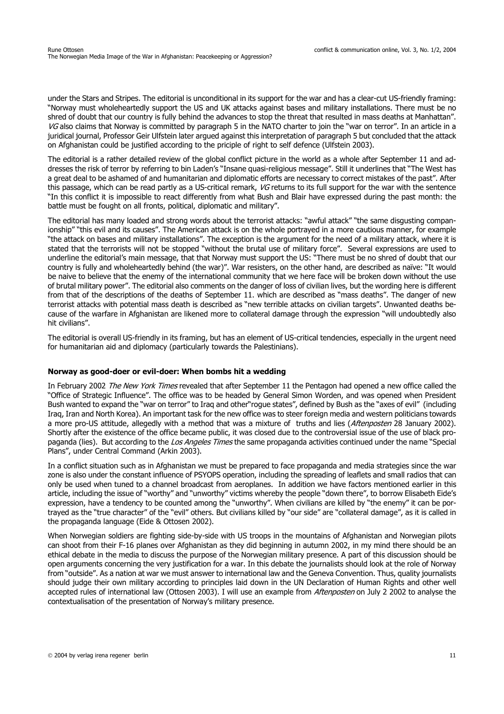under the Stars and Stripes. The editorial is unconditional in its support for the war and has a clear-cut US-friendly framing: "Norway must wholeheartedly support the US and UK attacks against bases and military installations. There must be no shred of doubt that our country is fully behind the advances to stop the threat that resulted in mass deaths at Manhattan". VG also claims that Norway is committed by paragraph 5 in the NATO charter to join the "war on terror". In an article in a juridical journal, Professor Geir Ulfstein later argued against this interpretation of paragraph 5 but concluded that the attack on Afghanistan could be justified according to the priciple of right to self defence (Ulfstein 2003).

The editorial is a rather detailed review of the global conflict picture in the world as a whole after September 11 and addresses the risk of terror by referring to bin Laden's "Insane quasi-religious message". Still it underlines that "The West has a great deal to be ashamed of and humanitarian and diplomatic efforts are necessary to correct mistakes of the past". After this passage, which can be read partly as a US-critical remark, VG returns to its full support for the war with the sentence "In this conflict it is impossible to react differently from what Bush and Blair have expressed during the past month: the battle must be fought on all fronts, political, diplomatic and military".

The editorial has many loaded and strong words about the terrorist attacks: "awful attack" "the same disgusting companionship" "this evil and its causes". The American attack is on the whole portrayed in a more cautious manner, for example "the attack on bases and military installations". The exception is the argument for the need of a military attack, where it is stated that the terrorists will not be stopped "without the brutal use of military force". Several expressions are used to underline the editorial's main message, that that Norway must support the US: "There must be no shred of doubt that our country is fully and wholeheartedly behind (the war)". War resisters, on the other hand, are described as naïve: "It would be naive to believe that the enemy of the international community that we here face will be broken down without the use of brutal military power". The editorial also comments on the danger of loss of civilian lives, but the wording here is different from that of the descriptions of the deaths of September 11. which are described as "mass deaths". The danger of new terrorist attacks with potential mass death is described as "new terrible attacks on civilian targets". Unwanted deaths because of the warfare in Afghanistan are likened more to collateral damage through the expression "will undoubtedly also hit civilians".

The editorial is overall US-friendly in its framing, but has an element of US-critical tendencies, especially in the urgent need for humanitarian aid and diplomacy (particularly towards the Palestinians).

#### **Norway as good-doer or evil-doer: When bombs hit a wedding**

In February 2002 The New York Times revealed that after September 11 the Pentagon had opened a new office called the "Office of Strategic Influence". The office was to be headed by General Simon Worden, and was opened when President Bush wanted to expand the "war on terror" to Iraq and other"rogue states", defined by Bush as the "axes of evil" (including Iraq, Iran and North Korea). An important task for the new office was to steer foreign media and western politicians towards a more pro-US attitude, allegedly with a method that was a mixture of truths and lies (Aftenposten 28 January 2002). Shortly after the existence of the office became public, it was closed due to the controversial issue of the use of black propaganda (lies). But according to the *Los Angeles Times* the same propaganda activities continued under the name "Special Plans", under Central Command (Arkin 2003).

In a conflict situation such as in Afghanistan we must be prepared to face propaganda and media strategies since the war zone is also under the constant influence of PSYOPS operation, including the spreading of leaflets and small radios that can only be used when tuned to a channel broadcast from aeroplanes. In addition we have factors mentioned earlier in this article, including the issue of "worthy" and "unworthy" victims whereby the people "down there", to borrow Elisabeth Eide's expression, have a tendency to be counted among the "unworthy". When civilians are killed by "the enemy" it can be portrayed as the "true character" of the "evil" others. But civilians killed by "our side" are "collateral damage", as it is called in the propaganda language (Eide & Ottosen 2002).

When Norwegian soldiers are fighting side-by-side with US troops in the mountains of Afghanistan and Norwegian pilots can shoot from their F-16 planes over Afghanistan as they did beginning in autumn 2002, in my mind there should be an ethical debate in the media to discuss the purpose of the Norwegian military presence. A part of this discussion should be open arguments concerning the very justification for a war. In this debate the journalists should look at the role of Norway from "outside". As a nation at war we must answer to international law and the Geneva Convention. Thus, quality journalists should judge their own military according to principles laid down in the UN Declaration of Human Rights and other well accepted rules of international law (Ottosen 2003). I will use an example from *Aftenposten* on July 2 2002 to analyse the contextualisation of the presentation of Norway's military presence.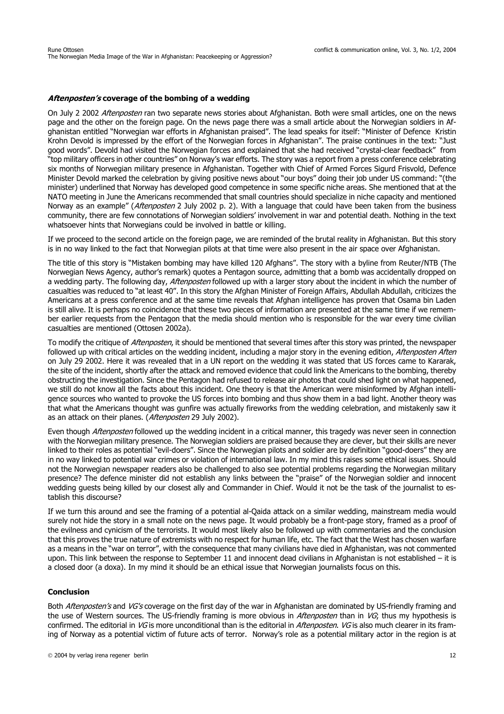#### **Aftenposten's coverage of the bombing of a wedding**

On July 2 2002 Aftenposten ran two separate news stories about Afghanistan. Both were small articles, one on the news page and the other on the foreign page. On the news page there was a small article about the Norwegian soldiers in Afghanistan entitled "Norwegian war efforts in Afghanistan praised". The lead speaks for itself: "Minister of Defence Kristin Krohn Devold is impressed by the effort of the Norwegian forces in Afghanistan". The praise continues in the text: "Just good words". Devold had visited the Norwegian forces and explained that she had received "crystal-clear feedback" from "top military officers in other countries" on Norway's war efforts. The story was a report from a press conference celebrating six months of Norwegian military presence in Afghanistan. Together with Chief of Armed Forces Sigurd Frisvold, Defence Minister Devold marked the celebration by giving positive news about "our boys" doing their job under US command: "(the minister) underlined that Norway has developed good competence in some specific niche areas. She mentioned that at the NATO meeting in June the Americans recommended that small countries should specialize in niche capacity and mentioned Norway as an example" (Aftenposten 2 July 2002 p. 2). With a language that could have been taken from the business community, there are few connotations of Norwegian soldiers' involvement in war and potential death. Nothing in the text whatsoever hints that Norwegians could be involved in battle or killing.

If we proceed to the second article on the foreign page, we are reminded of the brutal reality in Afghanistan. But this story is in no way linked to the fact that Norwegian pilots at that time were also present in the air space over Afghanistan.

The title of this story is "Mistaken bombing may have killed 120 Afghans". The story with a byline from Reuter/NTB (The Norwegian News Agency, author's remark) quotes a Pentagon source, admitting that a bomb was accidentally dropped on a wedding party. The following day, *Aftenposten* followed up with a larger story about the incident in which the number of casualties was reduced to "at least 40". In this story the Afghan Minister of Foreign Affairs, Abdullah Abdullah, criticizes the Americans at a press conference and at the same time reveals that Afghan intelligence has proven that Osama bin Laden is still alive. It is perhaps no coincidence that these two pieces of information are presented at the same time if we remember earlier requests from the Pentagon that the media should mention who is responsible for the war every time civilian casualties are mentioned (Ottosen 2002a).

To modify the critique of *Aftenposten*, it should be mentioned that several times after this story was printed, the newspaper followed up with critical articles on the wedding incident, including a major story in the evening edition, *Aftenposten Aften* on July 29 2002. Here it was revealed that in a UN report on the wedding it was stated that US forces came to Kararak, the site of the incident, shortly after the attack and removed evidence that could link the Americans to the bombing, thereby obstructing the investigation. Since the Pentagon had refused to release air photos that could shed light on what happened, we still do not know all the facts about this incident. One theory is that the American were misinformed by Afghan intelligence sources who wanted to provoke the US forces into bombing and thus show them in a bad light. Another theory was that what the Americans thought was gunfire was actually fireworks from the wedding celebration, and mistakenly saw it as an attack on their planes. (Aftenposten 29 July 2002).

Even though *Aftenposten* followed up the wedding incident in a critical manner, this tragedy was never seen in connection with the Norwegian military presence. The Norwegian soldiers are praised because they are clever, but their skills are never linked to their roles as potential "evil-doers". Since the Norwegian pilots and soldier are by definition "good-doers" they are in no way linked to potential war crimes or violation of international law. In my mind this raises some ethical issues. Should not the Norwegian newspaper readers also be challenged to also see potential problems regarding the Norwegian military presence? The defence minister did not establish any links between the "praise" of the Norwegian soldier and innocent wedding guests being killed by our closest ally and Commander in Chief. Would it not be the task of the journalist to establish this discourse?

If we turn this around and see the framing of a potential al-Qaida attack on a similar wedding, mainstream media would surely not hide the story in a small note on the news page. It would probably be a front-page story, framed as a proof of the evilness and cynicism of the terrorists. It would most likely also be followed up with commentaries and the conclusion that this proves the true nature of extremists with no respect for human life, etc. The fact that the West has chosen warfare as a means in the "war on terror", with the consequence that many civilians have died in Afghanistan, was not commented upon. This link between the response to September 11 and innocent dead civilians in Afghanistan is not established – it is a closed door (a doxa). In my mind it should be an ethical issue that Norwegian journalists focus on this.

### **Conclusion**

Both Aftenposten's and VG's coverage on the first day of the war in Afghanistan are dominated by US-friendly framing and the use of Western sources. The US-friendly framing is more obvious in Aftenposten than in VG; thus my hypothesis is confirmed. The editorial in VG is more unconditional than is the editorial in Aftenposten. VG is also much clearer in its framing of Norway as a potential victim of future acts of terror. Norway's role as a potential military actor in the region is at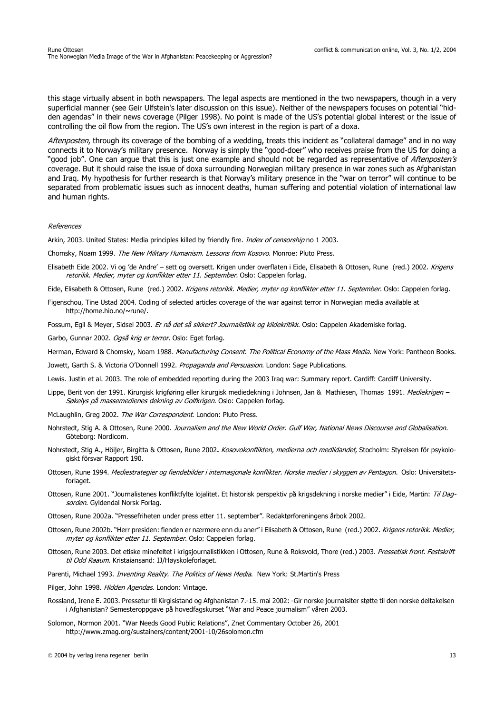this stage virtually absent in both newspapers. The legal aspects are mentioned in the two newspapers, though in a very superficial manner (see Geir Ulfstein's later discussion on this issue). Neither of the newspapers focuses on potential "hidden agendas" in their news coverage (Pilger 1998). No point is made of the US's potential global interest or the issue of controlling the oil flow from the region. The US's own interest in the region is part of a doxa.

Aftenposten, through its coverage of the bombing of a wedding, treats this incident as "collateral damage" and in no way connects it to Norway's military presence. Norway is simply the "good-doer" who receives praise from the US for doing a "good job". One can argue that this is just one example and should not be regarded as representative of *Aftenposten's* coverage. But it should raise the issue of doxa surrounding Norwegian military presence in war zones such as Afghanistan and Iraq. My hypothesis for further research is that Norway's military presence in the "war on terror" will continue to be separated from problematic issues such as innocent deaths, human suffering and potential violation of international law and human rights.

#### References

Arkin, 2003. United States: Media principles killed by friendly fire. *Index of censorship* no 1 2003.

Chomsky, Noam 1999. The New Military Humanism. Lessons from Kosovo. Monroe: Pluto Press.

Elisabeth Eide 2002. Vi og 'de Andre' – sett og oversett. Krigen under overflaten i Eide, Elisabeth & Ottosen, Rune (red.) 2002. Krigens retorikk. Medier, myter og konflikter etter 11. September. Oslo: Cappelen forlag.

Eide, Elisabeth & Ottosen, Rune (red.) 2002. Krigens retorikk. Medier, myter og konflikter etter 11. September. Oslo: Cappelen forlag.

Figenschou, Tine Ustad 2004. Coding of selected articles coverage of the war against terror in Norwegian media available at http://home.hio.no/~rune/.

Fossum, Egil & Meyer, Sidsel 2003. Er nå det så sikkert? Journalistikk og kildekritikk. Oslo: Cappelen Akademiske forlag.

Garbo, Gunnar 2002. Også krig er terror. Oslo: Eget forlag.

Herman, Edward & Chomsky, Noam 1988. Manufacturing Consent. The Political Economy of the Mass Media. New York: Pantheon Books.

Jowett, Garth S. & Victoria O'Donnell 1992. Propaganda and Persuasion. London: Sage Publications.

Lewis. Justin et al. 2003. The role of embedded reporting during the 2003 Iraq war: Summary report. Cardiff: Cardiff University.

- Lippe, Berit von der 1991. Kirurgisk krigføring eller kirurgisk mediedekning i Johnsen, Jan & Mathiesen, Thomas 1991. Mediekrigen -Søkelys på massemedienes dekning av Golfkrigen. Oslo: Cappelen forlag.
- McLaughlin, Greg 2002. The War Correspondent. London: Pluto Press.
- Nohrstedt, Stig A. & Ottosen, Rune 2000. Journalism and the New World Order. Gulf War, National News Discourse and Globalisation. Göteborg: Nordicom.
- Nohrstedt, Stig A., Höijer, Birgitta & Ottosen, Rune 2002**.** Kosovokonflikten, medierna och medlidandet, Stocholm: Styrelsen för psykologiskt försvar Rapport 190.
- Ottosen, Rune 1994. Mediestrategier og fiendebilder i internasjonale konflikter. Norske medier i skyggen av Pentagon. Oslo: Universitetsforlaget.
- Ottosen, Rune 2001. "Journalistenes konfliktfylte lojalitet. Et historisk perspektiv på krigsdekning i norske medier" i Eide, Martin: Til Dagsorden. Gyldendal Norsk Forlag.
- Ottosen, Rune 2002a. "Pressefriheten under press etter 11. september". Redaktørforeningens årbok 2002.
- Ottosen, Rune 2002b. "Herr presiden: fienden er nærmere enn du aner" i Elisabeth & Ottosen, Rune (red.) 2002. Krigens retorikk. Medier, myter og konflikter etter 11. September. Oslo: Cappelen forlag.
- Ottosen, Rune 2003. Det etiske minefeltet i krigsjournalistikken i Ottosen, Rune & Roksvold, Thore (red.) 2003. Pressetisk front. Festskrift til Odd Raaum. Kristaiansand: IJ/Høyskoleforlaget.
- Parenti, Michael 1993. Inventing Reality. The Politics of News Media. New York: St.Martin's Press
- Pilger, John 1998. Hidden Agendas. London: Vintage.
- Rossland, Irene E. 2003. Pressetur til Kirgisistand og Afghanistan 7.-15. mai 2002: -Gir norske journalsiter støtte til den norske deltakelsen i Afghanistan? Semesteroppgave på hovedfagskurset "War and Peace journalism" våren 2003.
- Solomon, Normon 2001. "War Needs Good Public Relations", Znet Commentary October 26, 2001 http://www.zmag.org/sustainers/content/2001-10/26solomon.cfm